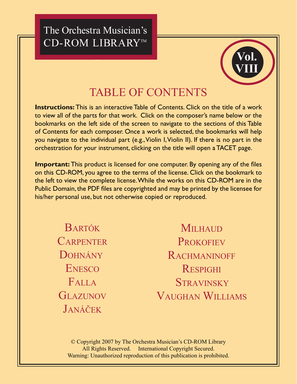The Orchestra Musician's CD-ROM LIBRARY™



## **TABLE OF CONTENTS**

**Instructions:** This is an interactive Table of Contents. Click on the title of a work to view all of the parts for that work. Click on the composer's name below or the bookmarks on the left side of the screen to navigate to the sections of this Table of Contents for each composer. Once a work is selected, the bookmarks will help you navigate to the individual part (e.g., Violin I, Violin II). If there is no part in the orchestration for your instrument, clicking on the title will open a TACET page.

**Important:** This product is licensed for one computer. By opening any of the files on this CD-ROM, you agree to the terms of the license. Click on the bookmark to the left to view the complete license. While the works on this CD-ROM are in the Public Domain, the PDF files are copyrighted and may be printed by the licensee for his/her personal use, but not otherwise copied or reproduced.

BARTÓK CARPENTER DOHNÁNY **ENESCO** FALLA **GLAZUNOV** JANÁČEK

**MILHAUD** PROKOFIEV RACHMANINOFF RESPIGHI **STRAVINSKY VAUGHAN WILLIAMS** 

© Copyright 2007 by The Orchestra Musician's CD-ROM Library All Rights Reserved. International Copyright Secured. Warning: Unauthorized reproduction of this publication is prohibited.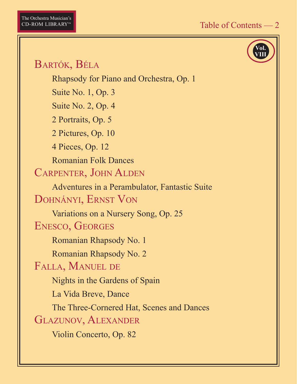## .<br>Vol.<br>VIII

## <span id="page-1-0"></span>BARTÓK, BÉLA

Rhapsody for Piano and Orchestra, Op. 1

Suite No. 1, Op. 3

Suite No. 2, Op. 4

2 Portraits, Op. 5

2 Pictures, Op. 10

4 Pieces, Op. 12

**Romanian Folk Dances** 

**CARPENTER, JOHN ALDEN** 

Adventures in a Perambulator, Fantastic Suite DOHNÁNYI, ERNST VON

Variations on a Nursery Song, Op. 25 ENESCO, GEORGES

Romanian Rhapsody No. 1

Romanian Rhapsody No. 2

FALLA, MANUEL DE

Nights in the Gardens of Spain

La Vida Breve, Dance

The Three-Cornered Hat, Scenes and Dances

**GLAZUNOV, ALEXANDER** 

Violin Concerto, Op. 82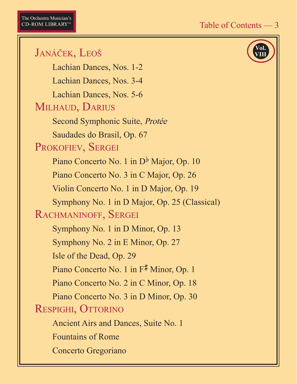<span id="page-2-0"></span>.<br>Vol.<br>VIII JANÁČEK, LEOŠ Lachian Dances, Nos. 1-2 Lachian Dances, Nos. 3-4 Lachian Dances, Nos. 5-6 MILHAUD, DARIUS Second Symphonic Suite, Protée Saudades do Brasil, Op. 67 PROKOFIEV, SERGEI Piano Concerto No. 1 in  $D^{\flat}$  Major, Op. 10 Piano Concerto No. 3 in C Major, Op. 26 Violin Concerto No. 1 in D Major, Op. 19 Symphony No. 1 in D Major, Op. 25 (Classical) RACHMANINOFF, SERGEI Symphony No. 1 in D Minor, Op. 13 Symphony No. 2 in E Minor, Op. 27 Isle of the Dead, Op. 29 Piano Concerto No. 1 in F# Minor, Op. 1 Piano Concerto No. 2 in C Minor, Op. 18 Piano Concerto No. 3 in D Minor, Op. 30 RESPIGHI, OTTORINO Ancient Airs and Dances, Suite No. 1 **Fountains of Rome Concerto Gregoriano**